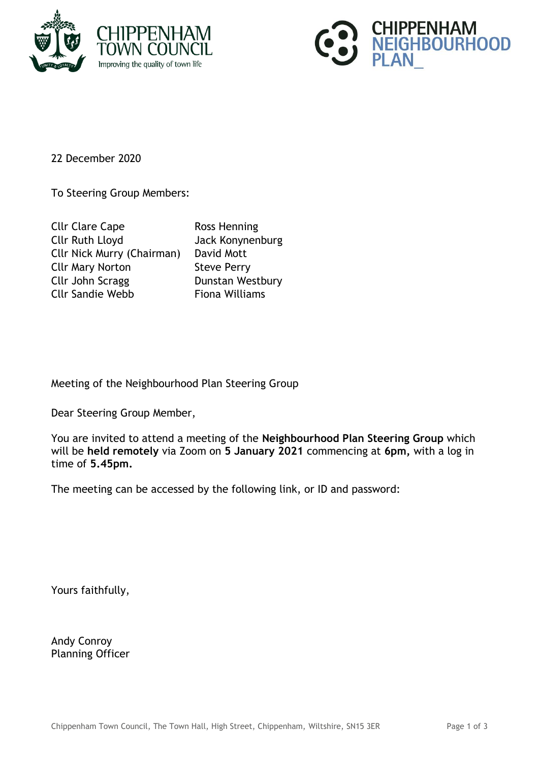



22 December 2020

To Steering Group Members:

| <b>Cllr Clare Cape</b>            | Ross Henning          |
|-----------------------------------|-----------------------|
| <b>Cllr Ruth Lloyd</b>            | Jack Konynenburg      |
| <b>Cllr Nick Murry (Chairman)</b> | David Mott            |
| <b>Cllr Mary Norton</b>           | <b>Steve Perry</b>    |
| Cllr John Scragg                  | Dunstan Westbury      |
| <b>Cllr Sandie Webb</b>           | <b>Fiona Williams</b> |

Meeting of the Neighbourhood Plan Steering Group

Dear Steering Group Member,

You are invited to attend a meeting of the **Neighbourhood Plan Steering Group** which will be **held remotely** via Zoom on **5 January 2021** commencing at **6pm,** with a log in time of **5.45pm.**

The meeting can be accessed by the following link, or ID and password:

Yours faithfully,

Andy Conroy Planning Officer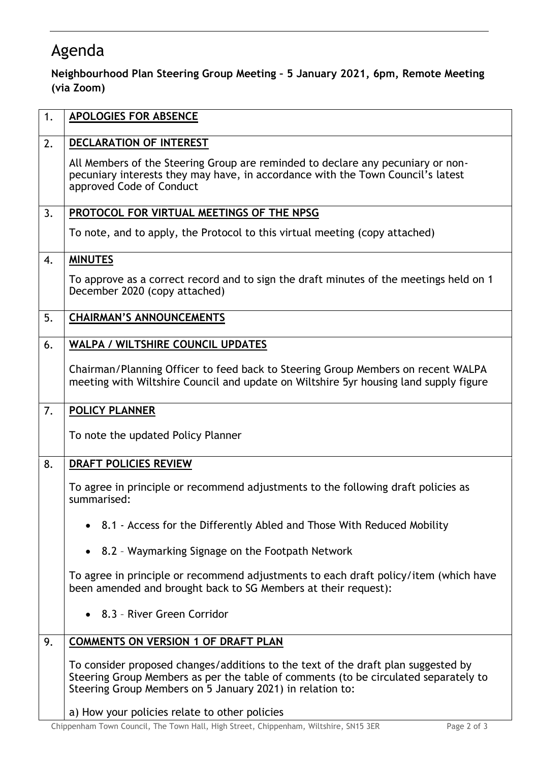## Agenda

## **Neighbourhood Plan Steering Group Meeting – 5 January 2021, 6pm, Remote Meeting (via Zoom)**

| 1. | <b>APOLOGIES FOR ABSENCE</b>                                                                                                                                                                                                          |
|----|---------------------------------------------------------------------------------------------------------------------------------------------------------------------------------------------------------------------------------------|
| 2. | DECLARATION OF INTEREST                                                                                                                                                                                                               |
|    | All Members of the Steering Group are reminded to declare any pecuniary or non-<br>pecuniary interests they may have, in accordance with the Town Council's latest<br>approved Code of Conduct                                        |
| 3. | PROTOCOL FOR VIRTUAL MEETINGS OF THE NPSG                                                                                                                                                                                             |
|    | To note, and to apply, the Protocol to this virtual meeting (copy attached)                                                                                                                                                           |
| 4. | <b>MINUTES</b>                                                                                                                                                                                                                        |
|    | To approve as a correct record and to sign the draft minutes of the meetings held on 1<br>December 2020 (copy attached)                                                                                                               |
| 5. | <b>CHAIRMAN'S ANNOUNCEMENTS</b>                                                                                                                                                                                                       |
| 6. | <b>WALPA / WILTSHIRE COUNCIL UPDATES</b>                                                                                                                                                                                              |
|    | Chairman/Planning Officer to feed back to Steering Group Members on recent WALPA<br>meeting with Wiltshire Council and update on Wiltshire 5yr housing land supply figure                                                             |
| 7. | <b>POLICY PLANNER</b>                                                                                                                                                                                                                 |
|    | To note the updated Policy Planner                                                                                                                                                                                                    |
| 8. | <b>DRAFT POLICIES REVIEW</b>                                                                                                                                                                                                          |
|    | To agree in principle or recommend adjustments to the following draft policies as<br>summarised:                                                                                                                                      |
|    | • 8.1 - Access for the Differently Abled and Those With Reduced Mobility                                                                                                                                                              |
|    | • 8.2 - Waymarking Signage on the Footpath Network                                                                                                                                                                                    |
|    | To agree in principle or recommend adjustments to each draft policy/item (which have<br>been amended and brought back to SG Members at their request):                                                                                |
|    | • 8.3 - River Green Corridor                                                                                                                                                                                                          |
| 9. | <b>COMMENTS ON VERSION 1 OF DRAFT PLAN</b>                                                                                                                                                                                            |
|    | To consider proposed changes/additions to the text of the draft plan suggested by<br>Steering Group Members as per the table of comments (to be circulated separately to<br>Steering Group Members on 5 January 2021) in relation to: |
|    | a) How your policies relate to other policies                                                                                                                                                                                         |